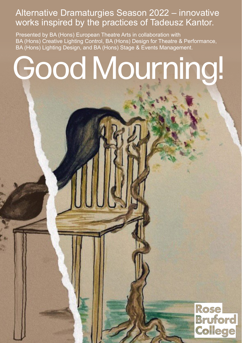## Alternative Dramaturgies Season 2022 – innovative works inspired by the practices of Tadeusz Kantor.

Presented by BA (Hons) European Theatre Arts in collaboration with BA (Hons) Creative Lighting Control, BA (Hons) Design for Theatre & Performance, BA (Hons) Lighting Design, and BA (Hons) Stage & Events Management.

# Good Mourning!